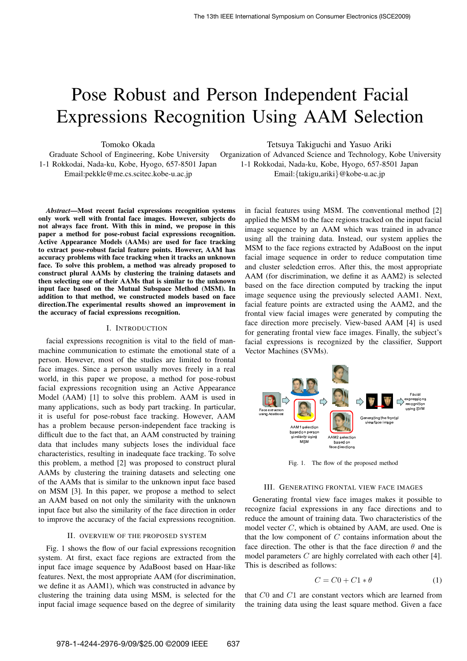# Pose Robust and Person Independent Facial Expressions Recognition Using AAM Selection

Tomoko Okada

Graduate School of Engineering, Kobe University 1-1 Rokkodai, Nada-ku, Kobe, Hyogo, 657-8501 Japan Email:pekkle@me.cs.scitec.kobe-u.ac.jp

*Abstract*—Most recent facial expressions recognition systems only work well with frontal face images. However, subjects do not always face front. With this in mind, we propose in this paper a method for pose-robust facial expressions recognition. Active Appearance Models (AAMs) are used for face tracking to extract pose-robust facial feature points. However, AAM has accuracy problems with face tracking when it tracks an unknown face. To solve this problem, a method was already proposed to construct plural AAMs by clustering the training datasets and then selecting one of their AAMs that is similar to the unknown input face based on the Mutual Subspace Method (MSM). In addition to that method, we constructed models based on face direction.The experimental results showed an improvement in the accuracy of facial expressions recognition.

#### I. INTRODUCTION

facial expressions recognition is vital to the field of manmachine communication to estimate the emotional state of a person. However, most of the studies are limited to frontal face images. Since a person usually moves freely in a real world, in this paper we propose, a method for pose-robust facial expressions recognition using an Active Appearance Model (AAM) [1] to solve this problem. AAM is used in many applications, such as body part tracking. In particular, it is useful for pose-robust face tracking. However, AAM has a problem because person-independent face tracking is difficult due to the fact that, an AAM constructed by training data that includes many subjects loses the individual face characteristics, resulting in inadequate face tracking. To solve this problem, a method [2] was proposed to construct plural AAMs by clustering the training datasets and selecting one of the AAMs that is similar to the unknown input face based on MSM [3]. In this paper, we propose a method to select an AAM based on not only the similarity with the unknown input face but also the similarity of the face direction in order to improve the accuracy of the facial expressions recognition.

#### II. OVERVIEW OF THE PROPOSED SYSTEM

Fig. 1 shows the flow of our facial expressions recognition system. At first, exact face regions are extracted from the input face image sequence by AdaBoost based on Haar-like features. Next, the most appropriate AAM (for discrimination, we define it as AAM1), which was constructed in advance by clustering the training data using MSM, is selected for the input facial image sequence based on the degree of similarity Tetsuya Takiguchi and Yasuo Ariki

Organization of Advanced Science and Technology, Kobe University 1-1 Rokkodai, Nada-ku, Kobe, Hyogo, 657-8501 Japan Email:{takigu,ariki}@kobe-u.ac.jp

> in facial features using MSM. The conventional method [2] applied the MSM to the face regions tracked on the input facial image sequence by an AAM which was trained in advance using all the training data. Instead, our system applies the MSM to the face regions extracted by AdaBoost on the input facial image sequence in order to reduce computation time and cluster seledction erros. After this, the most appropriate AAM (for discrimination, we define it as AAM2) is selected based on the face direction computed by tracking the input image sequence using the previously selected AAM1. Next, facial feature points are extracted using the AAM2, and the frontal view facial images were generated by computing the face direction more precisely. View-based AAM [4] is used for generating frontal view face images. Finally, the subject's facial expressions is recognized by the classifier, Support Vector Machines (SVMs).



Fig. 1. The flow of the proposed method

## III. GENERATING FRONTAL VIEW FACE IMAGES

Generating frontal view face images makes it possible to recognize facial expressions in any face directions and to reduce the amount of training data. Two characteristics of the model vecter  $C$ , which is obtained by AAM, are used. One is that the low component of  $C$  contains information about the face direction. The other is that the face direction  $\theta$  and the model parameters  $C$  are highly correlated with each other [4]. This is described as follows:

$$
C = C0 + C1 * \theta \tag{1}
$$

that C0 and C1 are constant vectors which are learned from the training data using the least square method. Given a face